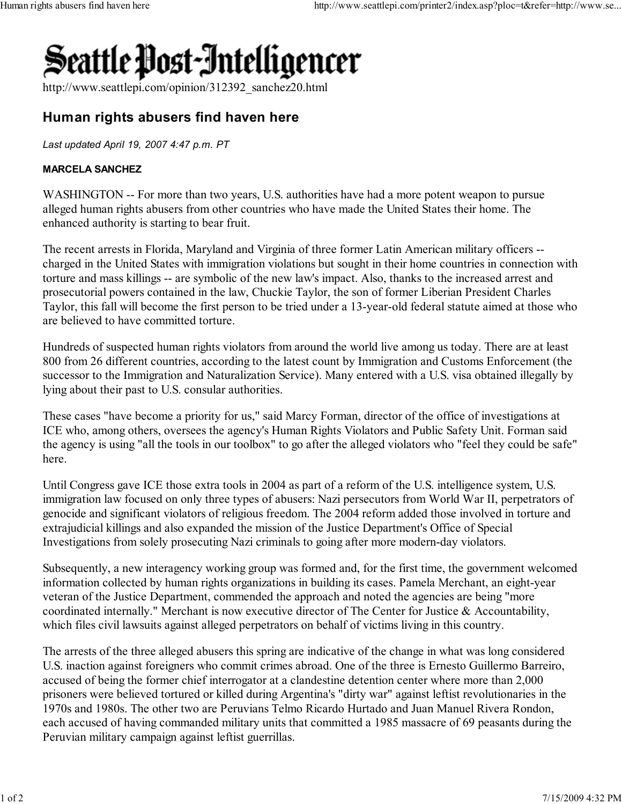

http://www.seattlepi.com/opinion/312392\_sanchez20.html

## Human rights abusers find haven here

Last updated April 19, 2007 4:47 p.m. PT

## MARCELA SANCHEZ

WASHINGTON -- For more than two years, U.S. authorities have had a more potent weapon to pursue alleged human rights abusers from other countries who have made the United States their home. The enhanced authority is starting to bear fruit.

The recent arrests in Florida, Maryland and Virginia of three former Latin American military officers - charged in the United States with immigration violations but sought in their home countries in connection with torture and mass killings -- are symbolic of the new law's impact. Also, thanks to the increased arrest and prosecutorial powers contained in the law, Chuckie Taylor, the son of former Liberian President Charles Taylor, this fall will become the first person to be tried under a 13-year-old federal statute aimed at those who are believed to have committed torture.

Hundreds of suspected human rights violators from around the world live among us today. There are at least 800 from 26 different countries, according to the latest count by Immigration and Customs Enforcement (the successor to the Immigration and Naturalization Service). Many entered with a U.S. visa obtained illegally by lying about their past to U.S. consular authorities.

These cases "have become a priority for us," said Marcy Forman, director of the office of investigations at ICE who, among others, oversees the agency's Human Rights Violators and Public Safety Unit. Forman said the agency is using "all the tools in our toolbox" to go after the alleged violators who "feel they could be safe" here.

Until Congress gave ICE those extra tools in 2004 as part of a reform of the U.S. intelligence system, U.S. immigration law focused on only three types of abusers: Nazi persecutors from World War II, perpetrators of genocide and significant violators of religious freedom. The 2004 reform added those involved in torture and extrajudicial killings and also expanded the mission of the Justice Department's Office of Special Investigations from solely prosecuting Nazi criminals to going after more modern-day violators.

Subsequently, a new interagency working group was formed and, for the first time, the government welcomed information collected by human rights organizations in building its cases. Pamela Merchant, an eight-year veteran of the Justice Department, commended the approach and noted the agencies are being "more coordinated internally." Merchant is now executive director of The Center for Justice & Accountability, which files civil lawsuits against alleged perpetrators on behalf of victims living in this country.

The arrests of the three alleged abusers this spring are indicative of the change in what was long considered U.S. inaction against foreigners who commit crimes abroad. One of the three is Ernesto Guillermo Barreiro, accused of being the former chief interrogator at a clandestine detention center where more than 2,000 prisoners were believed tortured or killed during Argentina's "dirty war" against leftist revolutionaries in the 1970s and 1980s. The other two are Peruvians Telmo Ricardo Hurtado and Juan Manuel Rivera Rondon, each accused of having commanded military units that committed a 1985 massacre of 69 peasants during the Peruvian military campaign against leftist guerrillas.